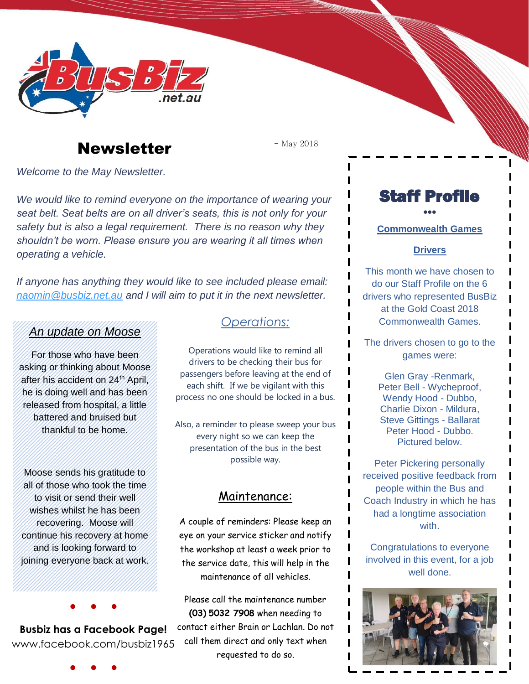

# Newsletter **Newsletter Newsletter**

*Welcome to the May Newsletter.*

*We would like to remind everyone on the importance of wearing your seat belt. Seat belts are on all driver's seats, this is not only for your safety but is also a legal requirement. There is no reason why they shouldn't be worn. Please ensure you are wearing it all times when operating a vehicle.*

*If anyone has anything they would like to see included please email: [naomin@busbiz.net.au](mailto:naomin@busbiz.net.au) and I will aim to put it in the next newsletter.*

#### *An update on Moose*

For those who have been asking or thinking about Moose after his accident on 24<sup>th</sup> April, he is doing well and has been released from hospital, a little battered and bruised but thankful to be home.

Moose sends his gratitude to all of those who took the time to visit or send their well wishes whilst he has been recovering. Moose will continue his recovery at home and is looking forward to joining everyone back at work.

**Busbiz has a Facebook Page!** www.facebook.com/busbiz1965

● ● ●

## *Operations:*

Operations would like to remind all drivers to be checking their bus for passengers before leaving at the end of each shift. If we be vigilant with this process no one should be locked in a bus.

Also, a reminder to please sweep your bus every night so we can keep the presentation of the bus in the best possible way.

### Maintenance:

A couple of reminders: Please keep an eye on your service sticker and notify the workshop at least a week prior to the service date, this will help in the maintenance of all vehicles.

Please call the maintenance number **(03) 5032 7908** when needing to contact either Brain or Lachlan. Do not call them direct and only text when requested to do so.

Staff Profile

### ••• **Commonwealth Games**

#### **Drivers**

This month we have chosen to do our Staff Profile on the 6 drivers who represented BusBiz at the Gold Coast 2018 Commonwealth Games.

The drivers chosen to go to the games were:

> Glen Gray -Renmark, Peter Bell - Wycheproof, Wendy Hood - Dubbo, Charlie Dixon - Mildura, Steve Gittings - Ballarat Peter Hood - Dubbo. Pictured below.

Peter Pickering personally received positive feedback from people within the Bus and Coach Industry in which he has had a longtime association with.

Congratulations to everyone involved in this event, for a job well done.



● ● ●